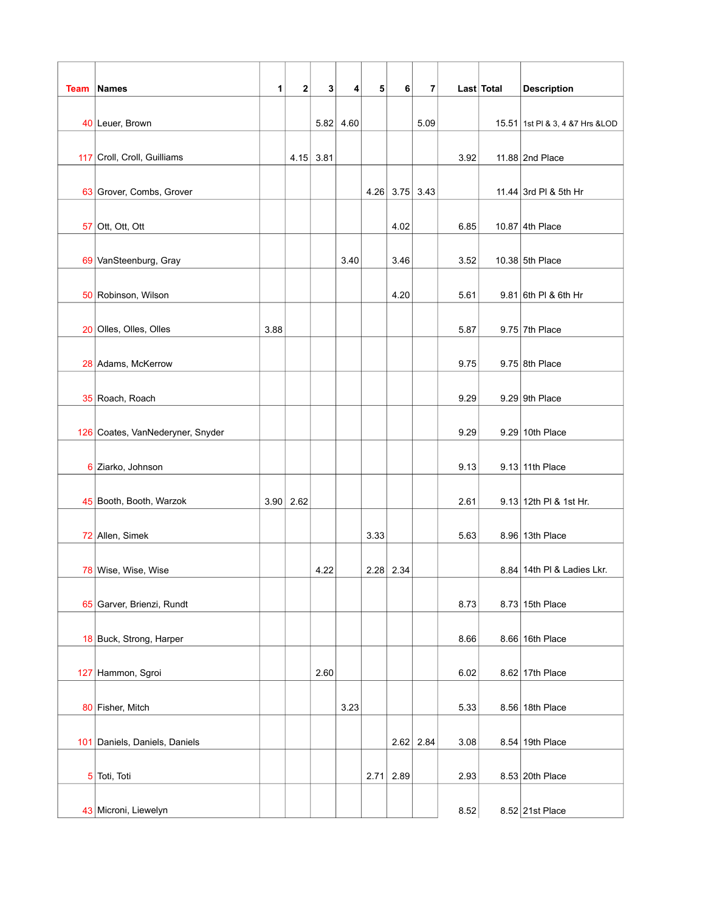|      |                                  |      |             |      |      |      |             |             |      | Last Total |                                   |
|------|----------------------------------|------|-------------|------|------|------|-------------|-------------|------|------------|-----------------------------------|
| Team | Names                            | 1    | 2           | 3    | 4    | 5    | $6 \mid$    | 7           |      |            | <b>Description</b>                |
|      | 40 Leuer, Brown                  |      |             | 5.82 | 4.60 |      |             | 5.09        |      |            | 15.51 1st PI & 3, 4 & 7 Hrs & LOD |
|      | 117 Croll, Croll, Guilliams      |      | 4.15        | 3.81 |      |      |             |             | 3.92 |            | 11.88 2nd Place                   |
|      |                                  |      |             |      |      |      |             |             |      |            |                                   |
|      | 63 Grover, Combs, Grover         |      |             |      |      | 4.26 |             | $3.75$ 3.43 |      |            | 11.44 3rd PI & 5th Hr             |
|      | $57$ Ott, Ott, Ott               |      |             |      |      |      | 4.02        |             | 6.85 |            | 10.87 4th Place                   |
|      |                                  |      |             |      |      |      |             |             |      |            |                                   |
|      | 69 VanSteenburg, Gray            |      |             |      | 3.40 |      | 3.46        |             | 3.52 |            | 10.38 5th Place                   |
|      | 50 Robinson, Wilson              |      |             |      |      |      | 4.20        |             | 5.61 |            | 9.81 6th PI & 6th Hr              |
|      |                                  |      |             |      |      |      |             |             |      |            |                                   |
|      | 20 Olles, Olles, Olles           | 3.88 |             |      |      |      |             |             | 5.87 |            | $9.75$ 7th Place                  |
|      | 28 Adams, McKerrow               |      |             |      |      |      |             |             | 9.75 |            | $9.75$ 8th Place                  |
|      |                                  |      |             |      |      |      |             |             |      |            |                                   |
|      | 35 Roach, Roach                  |      |             |      |      |      |             |             | 9.29 |            | $9.29$ 9th Place                  |
|      |                                  |      |             |      |      |      |             |             |      |            |                                   |
|      | 126 Coates, VanNederyner, Snyder |      |             |      |      |      |             |             | 9.29 |            | 9.29 10th Place                   |
|      | 6 Ziarko, Johnson                |      |             |      |      |      |             |             | 9.13 |            | 9.13 11th Place                   |
|      | 45 Booth, Booth, Warzok          |      | $3.90$ 2.62 |      |      |      |             |             | 2.61 |            | 9.13 12th PI & 1st Hr.            |
|      |                                  |      |             |      |      |      |             |             |      |            |                                   |
|      | 72 Allen, Simek                  |      |             |      |      | 3.33 |             |             | 5.63 |            | 8.96 13th Place                   |
|      | 78 Wise, Wise, Wise              |      |             | 4.22 |      |      | $2.28$ 2.34 |             |      |            | 8.84 14th PI & Ladies Lkr.        |
|      |                                  |      |             |      |      |      |             |             |      |            |                                   |
|      | 65 Garver, Brienzi, Rundt        |      |             |      |      |      |             |             | 8.73 |            | 8.73 15th Place                   |
|      | 18 Buck, Strong, Harper          |      |             |      |      |      |             |             | 8.66 |            | 8.66 16th Place                   |
|      |                                  |      |             |      |      |      |             |             |      |            |                                   |
|      | 127 Hammon, Sgroi                |      |             | 2.60 |      |      |             |             | 6.02 |            | 8.62 17th Place                   |
|      | 80 Fisher, Mitch                 |      |             |      | 3.23 |      |             |             | 5.33 |            | 8.56 18th Place                   |
|      | 101 Daniels, Daniels, Daniels    |      |             |      |      |      |             | $2.62$ 2.84 | 3.08 |            | 8.54 19th Place                   |
|      |                                  |      |             |      |      |      |             |             |      |            |                                   |
|      | 5 Toti, Toti                     |      |             |      |      |      | $2.71$ 2.89 |             | 2.93 |            | 8.53 20th Place                   |
|      |                                  |      |             |      |      |      |             |             |      |            |                                   |
|      | 43 Microni, Liewelyn             |      |             |      |      |      |             |             | 8.52 |            | 8.52 21st Place                   |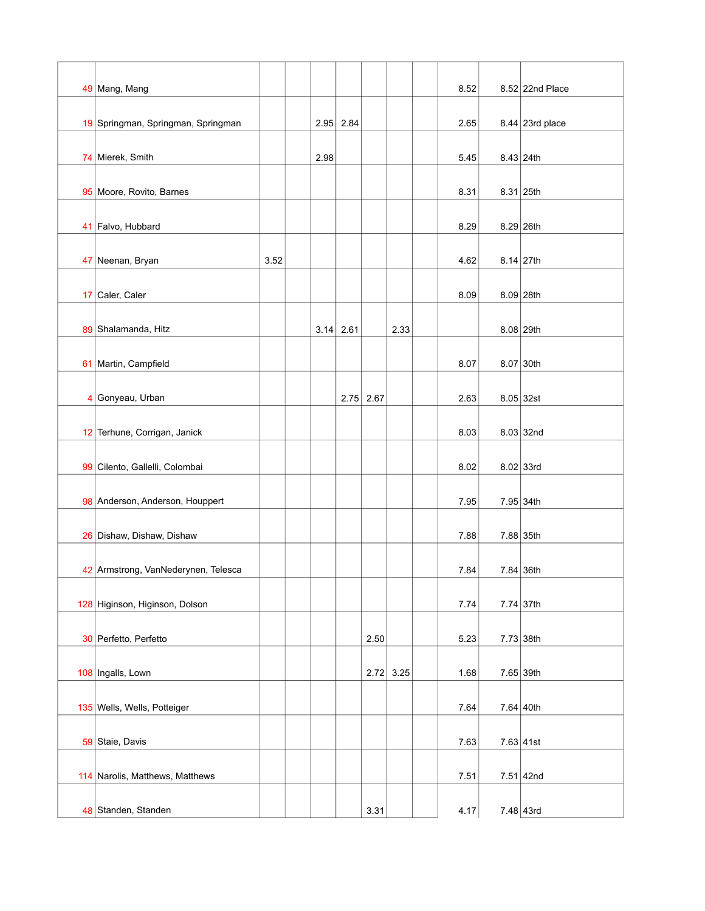|                | 49 Mang, Mang                       |      |      |             |             |             | 8.52 | 8.52 22nd Place |
|----------------|-------------------------------------|------|------|-------------|-------------|-------------|------|-----------------|
|                | 19 Springman, Springman, Springman  |      |      | $2.95$ 2.84 |             |             | 2.65 | 8.44 23rd place |
|                | 74 Mierek, Smith                    |      | 2.98 |             |             |             | 5.45 | $8.43$ 24th     |
|                | 95 Moore, Rovito, Barnes            |      |      |             |             |             | 8.31 | $8.31   25$ th  |
|                | 41 Falvo, Hubbard                   |      |      |             |             |             | 8.29 | $8.29$ 26th     |
|                | 47 Neenan, Bryan                    | 3.52 |      |             |             |             | 4.62 | 8.14   27th     |
|                | 17 Caler, Caler                     |      |      |             |             |             | 8.09 | $8.09$ 28th     |
|                | 89 Shalamanda, Hitz                 |      | 3.14 | 2.61        |             | 2.33        |      | $8.08$ 29th     |
|                | 61 Martin, Campfield                |      |      |             |             |             | 8.07 | 8.07 30th       |
| $\overline{4}$ | Gonyeau, Urban                      |      |      |             | $2.75$ 2.67 |             | 2.63 | $8.05$ 32st     |
|                | 12 Terhune, Corrigan, Janick        |      |      |             |             |             | 8.03 | 8.03   32nd     |
|                | 99 Cilento, Gallelli, Colombai      |      |      |             |             |             | 8.02 | $8.02$ 33rd     |
|                | 98 Anderson, Anderson, Houppert     |      |      |             |             |             | 7.95 | 7.95 34th       |
|                | 26 Dishaw, Dishaw, Dishaw           |      |      |             |             |             | 7.88 | 7.88 35th       |
|                | 42 Armstrong, VanNederynen, Telesca |      |      |             |             |             | 7.84 | 7.84 36th       |
|                | 128 Higinson, Higinson, Dolson      |      |      |             |             |             | 7.74 | $7.74$ 37th     |
|                |                                     |      |      |             |             |             |      |                 |
|                | 30 Perfetto, Perfetto               |      |      |             | 2.50        |             | 5.23 | $7.73$ 38th     |
|                | 108 Ingalls, Lown                   |      |      |             |             | $2.72$ 3.25 | 1.68 | 7.65 39th       |
|                | 135 Wells, Wells, Potteiger         |      |      |             |             |             | 7.64 | 7.64   40th     |
|                | 59 Staie, Davis                     |      |      |             |             |             | 7.63 | 7.63   41st     |
|                | 114 Narolis, Matthews, Matthews     |      |      |             |             |             | 7.51 | 7.51   42nd     |
|                | 48 Standen, Standen                 |      |      |             | 3.31        |             | 4.17 | $7.48$ 43rd     |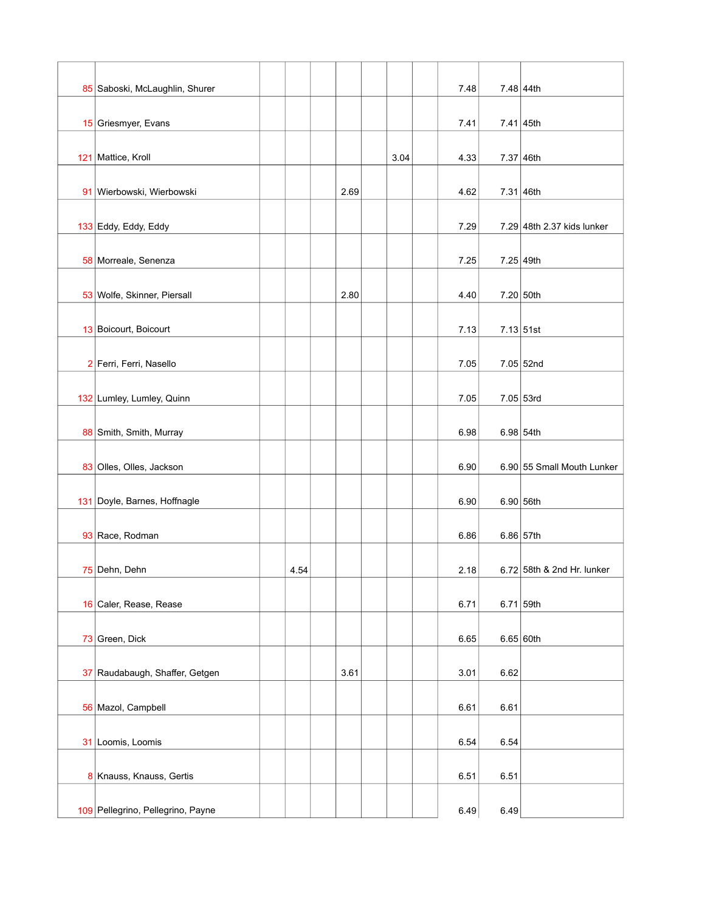| 85 Saboski, McLaughlin, Shurer    |      |      |      | 7.48 |                | 7.48 44th                  |
|-----------------------------------|------|------|------|------|----------------|----------------------------|
| 15 Griesmyer, Evans               |      |      |      | 7.41 | $7.41   45$ th |                            |
| 121 Mattice, Kroll                |      |      | 3.04 | 4.33 | 7.37 46th      |                            |
| 91 Wierbowski, Wierbowski         |      | 2.69 |      | 4.62 | 7.31   46th    |                            |
| 133 Eddy, Eddy, Eddy              |      |      |      | 7.29 |                | 7.29 48th 2.37 kids lunker |
| 58 Morreale, Senenza              |      |      |      | 7.25 | $7.25$ 49th    |                            |
| 53 Wolfe, Skinner, Piersall       |      | 2.80 |      | 4.40 | 7.20 50th      |                            |
| 13 Boicourt, Boicourt             |      |      |      | 7.13 | 7.13 51st      |                            |
| 2 Ferri, Ferri, Nasello           |      |      |      | 7.05 |                | 7.05 52nd                  |
| 132 Lumley, Lumley, Quinn         |      |      |      | 7.05 | $7.05$ 53rd    |                            |
| 88 Smith, Smith, Murray           |      |      |      | 6.98 |                | 6.98 54th                  |
| 83 Olles, Olles, Jackson          |      |      |      | 6.90 |                | 6.90 55 Small Mouth Lunker |
| 131 Doyle, Barnes, Hoffnagle      |      |      |      | 6.90 |                | 6.90 56th                  |
| 93 Race, Rodman                   |      |      |      | 6.86 | 6.86 57th      |                            |
| 75 Dehn, Dehn                     | 4.54 |      |      | 2.18 |                | 6.72 58th & 2nd Hr. lunker |
| 16 Caler, Rease, Rease            |      |      |      | 6.71 |                | $6.71$ 59th                |
| 73 Green, Dick                    |      |      |      | 6.65 | 6.65 60th      |                            |
| 37 Raudabaugh, Shaffer, Getgen    |      | 3.61 |      | 3.01 | 6.62           |                            |
| 56 Mazol, Campbell                |      |      |      | 6.61 | 6.61           |                            |
| 31 Loomis, Loomis                 |      |      |      | 6.54 | 6.54           |                            |
|                                   |      |      |      |      |                |                            |
| 8 Knauss, Knauss, Gertis          |      |      |      | 6.51 | 6.51           |                            |
| 109 Pellegrino, Pellegrino, Payne |      |      |      | 6.49 | 6.49           |                            |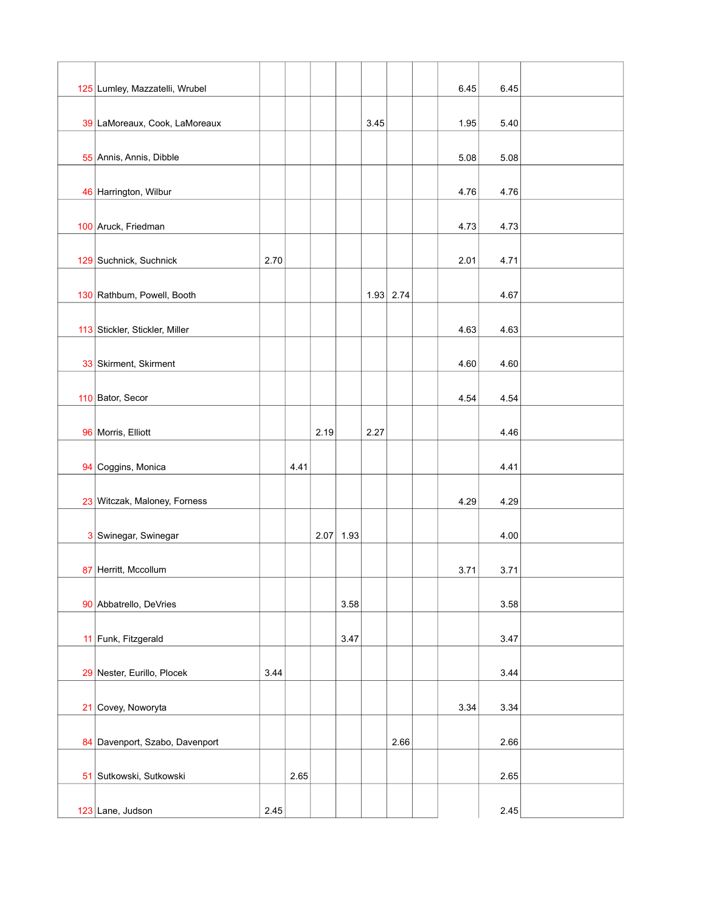| 125 Lumley, Mazzatelli, Wrubel |      |      |      |      |      |             | 6.45 | 6.45 |  |
|--------------------------------|------|------|------|------|------|-------------|------|------|--|
|                                |      |      |      |      |      |             |      |      |  |
| 39 LaMoreaux, Cook, LaMoreaux  |      |      |      |      | 3.45 |             | 1.95 | 5.40 |  |
| 55 Annis, Annis, Dibble        |      |      |      |      |      |             | 5.08 | 5.08 |  |
|                                |      |      |      |      |      |             |      |      |  |
| 46 Harrington, Wilbur          |      |      |      |      |      |             | 4.76 | 4.76 |  |
|                                |      |      |      |      |      |             |      |      |  |
| 100 Aruck, Friedman            |      |      |      |      |      |             | 4.73 | 4.73 |  |
| 129 Suchnick, Suchnick         | 2.70 |      |      |      |      |             | 2.01 | 4.71 |  |
|                                |      |      |      |      |      |             |      |      |  |
| 130 Rathbum, Powell, Booth     |      |      |      |      |      | $1.93$ 2.74 |      | 4.67 |  |
| 113 Stickler, Stickler, Miller |      |      |      |      |      |             | 4.63 | 4.63 |  |
|                                |      |      |      |      |      |             |      |      |  |
| 33 Skirment, Skirment          |      |      |      |      |      |             | 4.60 | 4.60 |  |
| 110 Bator, Secor               |      |      |      |      |      |             | 4.54 | 4.54 |  |
|                                |      |      |      |      |      |             |      |      |  |
| 96 Morris, Elliott             |      |      | 2.19 |      | 2.27 |             |      | 4.46 |  |
|                                |      |      |      |      |      |             |      |      |  |
| 94 Coggins, Monica             |      | 4.41 |      |      |      |             |      | 4.41 |  |
| 23 Witczak, Maloney, Forness   |      |      |      |      |      |             | 4.29 | 4.29 |  |
|                                |      |      |      |      |      |             |      |      |  |
| 3 Swinegar, Swinegar           |      |      | 2.07 | 1.93 |      |             |      | 4.00 |  |
| 87 Herritt, Mccollum           |      |      |      |      |      |             | 3.71 | 3.71 |  |
|                                |      |      |      |      |      |             |      |      |  |
| 90 Abbatrello, DeVries         |      |      |      | 3.58 |      |             |      | 3.58 |  |
| 11 Funk, Fitzgerald            |      |      |      | 3.47 |      |             |      | 3.47 |  |
|                                |      |      |      |      |      |             |      |      |  |
| 29 Nester, Eurillo, Plocek     | 3.44 |      |      |      |      |             |      | 3.44 |  |
|                                |      |      |      |      |      |             |      |      |  |
| 21 Covey, Noworyta             |      |      |      |      |      |             | 3.34 | 3.34 |  |
| 84 Davenport, Szabo, Davenport |      |      |      |      |      | 2.66        |      | 2.66 |  |
|                                |      |      |      |      |      |             |      |      |  |
| 51 Sutkowski, Sutkowski        |      | 2.65 |      |      |      |             |      | 2.65 |  |
| 123 Lane, Judson               | 2.45 |      |      |      |      |             |      | 2.45 |  |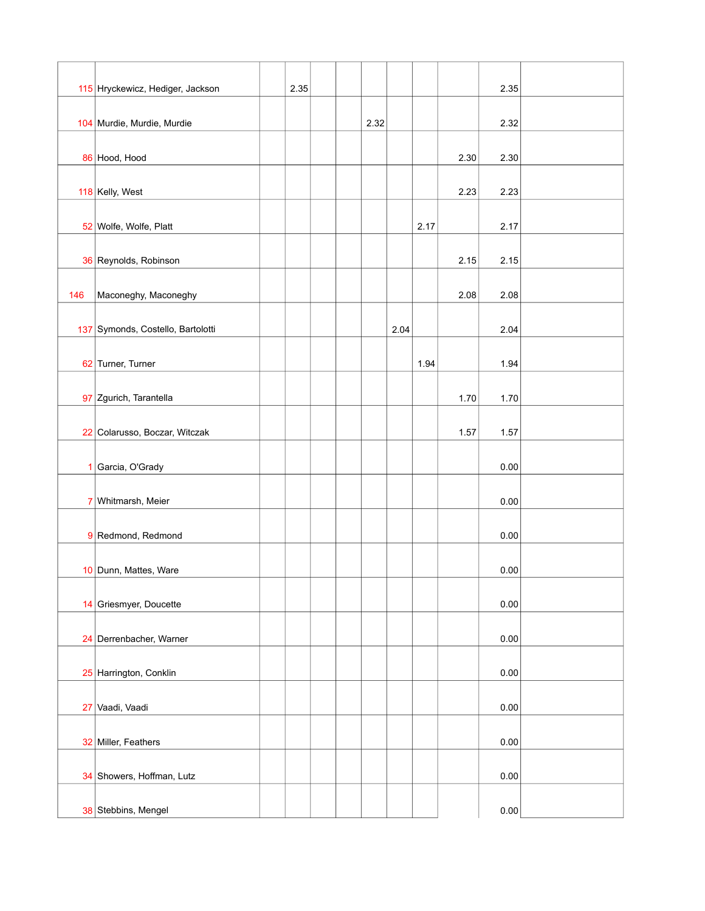|              | 115 Hryckewicz, Hediger, Jackson  | 2.35 |  |      |      |      |      | 2.35 |  |
|--------------|-----------------------------------|------|--|------|------|------|------|------|--|
|              |                                   |      |  |      |      |      |      |      |  |
|              | 104 Murdie, Murdie, Murdie        |      |  | 2.32 |      |      |      | 2.32 |  |
|              | 86 Hood, Hood                     |      |  |      |      |      | 2.30 | 2.30 |  |
|              |                                   |      |  |      |      |      |      |      |  |
|              | 118 Kelly, West                   |      |  |      |      |      | 2.23 | 2.23 |  |
|              | 52 Wolfe, Wolfe, Platt            |      |  |      |      | 2.17 |      | 2.17 |  |
|              |                                   |      |  |      |      |      |      |      |  |
|              | 36 Reynolds, Robinson             |      |  |      |      |      | 2.15 | 2.15 |  |
| 146          | Maconeghy, Maconeghy              |      |  |      |      |      | 2.08 | 2.08 |  |
|              |                                   |      |  |      |      |      |      |      |  |
|              | 137 Symonds, Costello, Bartolotti |      |  |      | 2.04 |      |      | 2.04 |  |
|              | 62 Turner, Turner                 |      |  |      |      | 1.94 |      | 1.94 |  |
|              |                                   |      |  |      |      |      |      |      |  |
|              | 97 Zgurich, Tarantella            |      |  |      |      |      | 1.70 | 1.70 |  |
|              | 22 Colarusso, Boczar, Witczak     |      |  |      |      |      | 1.57 | 1.57 |  |
|              |                                   |      |  |      |      |      |      |      |  |
| $\mathbf{1}$ | Garcia, O'Grady                   |      |  |      |      |      |      | 0.00 |  |
|              | 7 Whitmarsh, Meier                |      |  |      |      |      |      | 0.00 |  |
|              |                                   |      |  |      |      |      |      |      |  |
|              | 9 Redmond, Redmond                |      |  |      |      |      |      | 0.00 |  |
|              | 10 Dunn, Mattes, Ware             |      |  |      |      |      |      | 0.00 |  |
|              |                                   |      |  |      |      |      |      |      |  |
|              | 14 Griesmyer, Doucette            |      |  |      |      |      |      | 0.00 |  |
|              | 24 Derrenbacher, Warner           |      |  |      |      |      |      | 0.00 |  |
|              |                                   |      |  |      |      |      |      |      |  |
|              | 25 Harrington, Conklin            |      |  |      |      |      |      | 0.00 |  |
|              | 27 Vaadi, Vaadi                   |      |  |      |      |      |      | 0.00 |  |
|              |                                   |      |  |      |      |      |      |      |  |
|              | 32 Miller, Feathers               |      |  |      |      |      |      | 0.00 |  |
|              | 34 Showers, Hoffman, Lutz         |      |  |      |      |      |      | 0.00 |  |
|              |                                   |      |  |      |      |      |      |      |  |
|              | 38 Stebbins, Mengel               |      |  |      |      |      |      | 0.00 |  |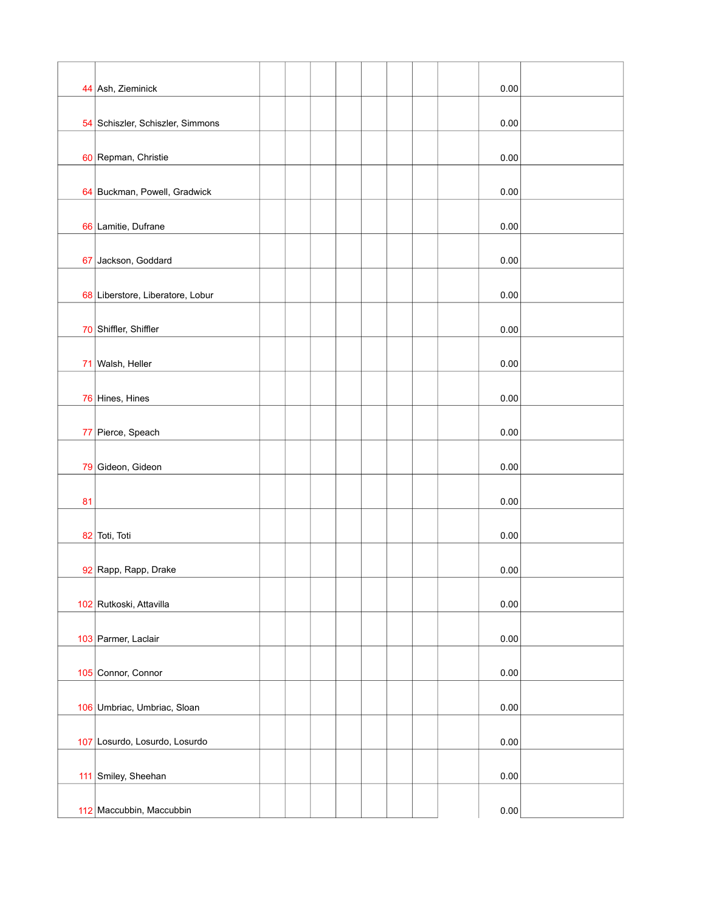|    | 44 Ash, Zieminick                |  |  |  |  | 0.00 |  |
|----|----------------------------------|--|--|--|--|------|--|
|    | 54 Schiszler, Schiszler, Simmons |  |  |  |  | 0.00 |  |
|    |                                  |  |  |  |  |      |  |
|    | 60 Repman, Christie              |  |  |  |  | 0.00 |  |
|    | 64 Buckman, Powell, Gradwick     |  |  |  |  | 0.00 |  |
|    | 66 Lamitie, Dufrane              |  |  |  |  | 0.00 |  |
|    | 67 Jackson, Goddard              |  |  |  |  | 0.00 |  |
|    | 68 Liberstore, Liberatore, Lobur |  |  |  |  | 0.00 |  |
|    | 70 Shiffler, Shiffler            |  |  |  |  | 0.00 |  |
|    | 71 Walsh, Heller                 |  |  |  |  | 0.00 |  |
|    | 76 Hines, Hines                  |  |  |  |  | 0.00 |  |
|    | 77 Pierce, Speach                |  |  |  |  | 0.00 |  |
|    | 79 Gideon, Gideon                |  |  |  |  | 0.00 |  |
| 81 |                                  |  |  |  |  | 0.00 |  |
|    | 82 Toti, Toti                    |  |  |  |  | 0.00 |  |
|    | 92 Rapp, Rapp, Drake             |  |  |  |  | 0.00 |  |
|    | 102 Rutkoski, Attavilla          |  |  |  |  | 0.00 |  |
|    | 103 Parmer, Laclair              |  |  |  |  | 0.00 |  |
|    | 105 Connor, Connor               |  |  |  |  | 0.00 |  |
|    | 106 Umbriac, Umbriac, Sloan      |  |  |  |  | 0.00 |  |
|    | 107 Losurdo, Losurdo, Losurdo    |  |  |  |  | 0.00 |  |
|    | 111 Smiley, Sheehan              |  |  |  |  | 0.00 |  |
|    | 112 Maccubbin, Maccubbin         |  |  |  |  | 0.00 |  |